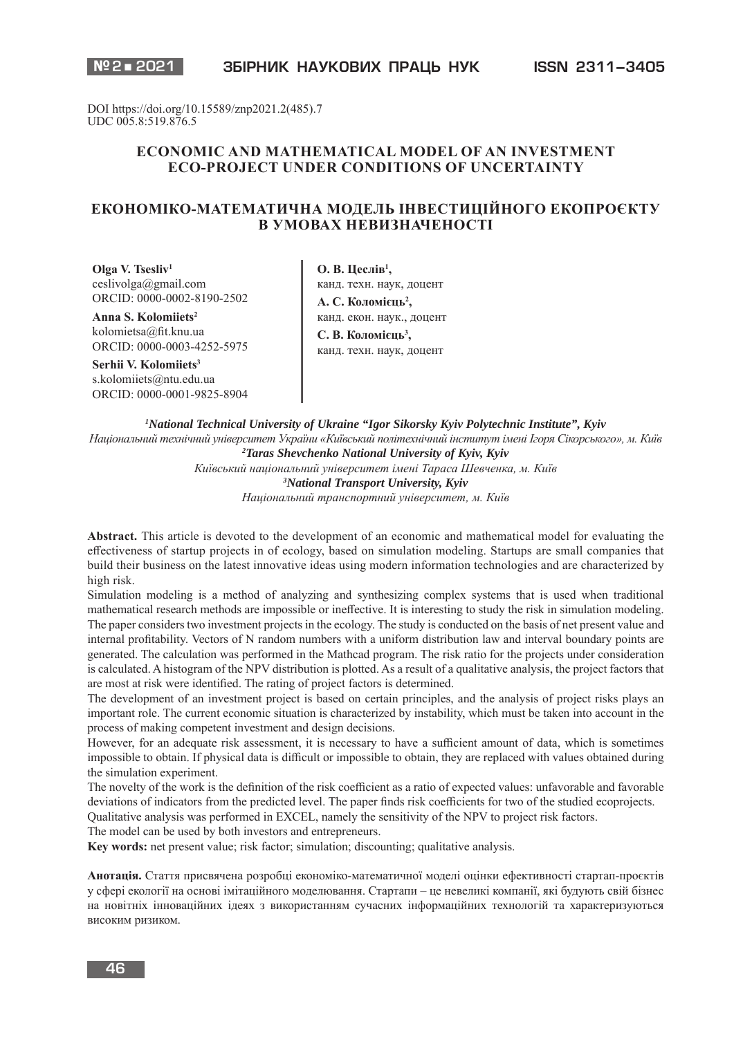DOI https://doi.org/10.15589/znp2021.2(485).7 UDC 005.8:519.876.5

# **ECONOMIC AND MATHEMATICAL MODEL OF AN INVESTMENT ECO-PROJECT UNDER CONDITIONS OF UNCERTAINTY**

# **ЕКОНОМІКО-МАТЕМАТИЧНА МОДЕЛЬ ІНВЕСТИЦІЙНОГО ЕКОПРОЄКТУ В УМОВАХ НЕВИЗНАЧЕНОСТІ**

**Olga V. Tsesliv1** ceslivolga@gmail.com ORCID: 0000-0002-8190-2502

**Anna S. Kolomiiets2** kolomietsa@fit.knu.ua ORCID: 0000-0003-4252-5975

**Serhii V. Kolomiiets3** s.kolomiiets@ntu.edu.ua ORCID: 0000-0001-9825-8904

**О. В. Цеслів1 ,** канд. техн. наук, доцент А. С. Коломієць<sup>2</sup>, канд. екон. наук., доцент С. В. Коломієць<sup>3</sup>, канд. техн. наук, доцент

*1 National Technical University of Ukraine "Igor Sikorsky Kyiv Polytechnic Institute", Kyiv Національний технічний університет України «Київський політехнічний інститут імені Ігоря Сікорського», м. Київ 2 Taras Shevchenko National University of Kyiv, Kyiv Київський національний університет імені Тараса Шевченка, м. Київ 3 National Transport University, Kyiv Національний транспортний університет, м. Київ*

**Abstract.** This article is devoted to the development of an economic and mathematical model for evaluating the effectiveness of startup projects in of ecology, based on simulation modeling. Startups are small companies that build their business on the latest innovative ideas using modern information technologies and are characterized by high risk.

Simulation modeling is a method of analyzing and synthesizing complex systems that is used when traditional mathematical research methods are impossible or ineffective. It is interesting to study the risk in simulation modeling. The paper considers two investment projects in the ecology. The study is conducted on the basis of net present value and internal profitability. Vectors of N random numbers with a uniform distribution law and interval boundary points are generated. The calculation was performed in the Mathcad program. The risk ratio for the projects under consideration is calculated. A histogram of the NPV distribution is plotted. As a result of a qualitative analysis, the project factors that are most at risk were identified. The rating of project factors is determined.

The development of an investment project is based on certain principles, and the analysis of project risks plays an important role. The current economic situation is characterized by instability, which must be taken into account in the process of making competent investment and design decisions.

However, for an adequate risk assessment, it is necessary to have a sufficient amount of data, which is sometimes impossible to obtain. If physical data is difficult or impossible to obtain, they are replaced with values obtained during the simulation experiment.

The novelty of the work is the definition of the risk coefficient as a ratio of expected values: unfavorable and favorable deviations of indicators from the predicted level. The paper finds risk coefficients for two of the studied ecoprojects. Qualitative analysis was performed in EXCEL, namely the sensitivity of the NPV to project risk factors.

The model can be used by both investors and entrepreneurs.

**Key words:** net present value; risk factor; simulation; discounting; qualitative analysis.

**Анотація.** Стаття присвячена розробці економіко-математичної моделі оцінки ефективності стартап-проєктів у сфері екології на основі імітаційного моделювання. Стартапи – це невеликі компанії, які будують свій бізнес на новітніх інноваційних ідеях з використанням сучасних інформаційних технологій та характеризуються високим ризиком.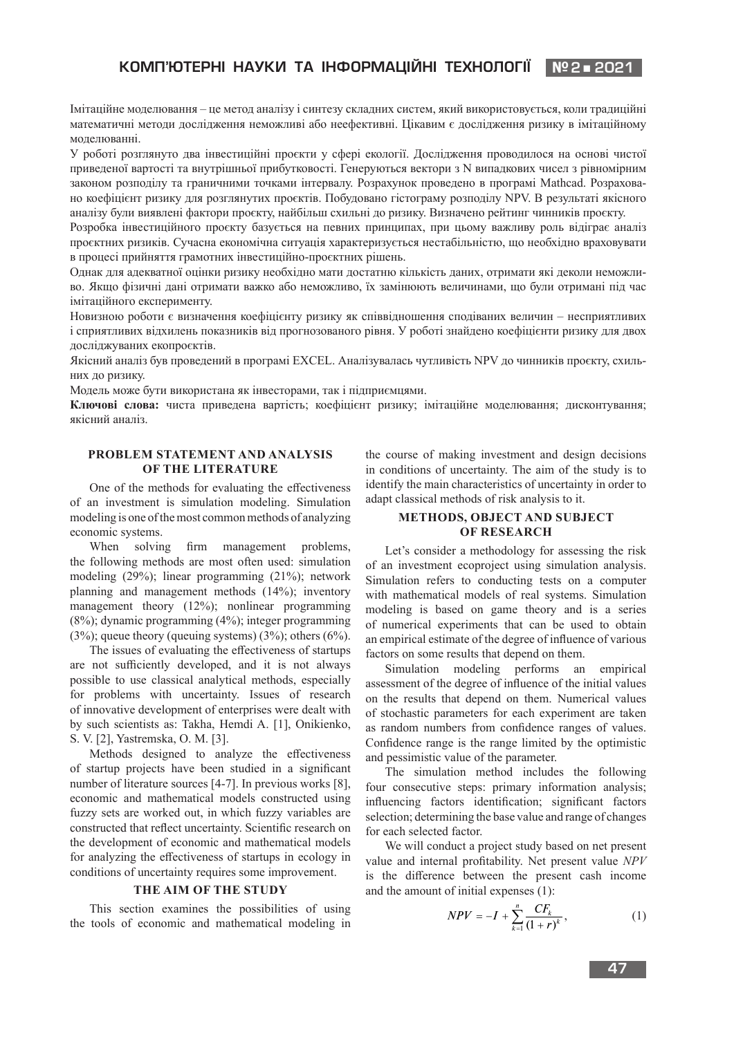# **КОМП'ЮТЕРНI НАУКИ ТА IНФОРМАЦIЙНI ТЕХНОЛОГI КОРАБЛЕБУДУВАННЯЇ №2 2021**

Імітаційне моделювання – це метод аналізу і синтезу складних систем, який використовується, коли традиційні математичні методи дослідження неможливі або неефективні. Цікавим є дослідження ризику в імітаційному моделюванні.

У роботі розглянуто два інвестиційні проєкти у сфері екології. Дослідження проводилося на основі чистої приведеної вартості та внутрішньої прибутковості. Генеруються вектори з N випадкових чисел з рівномірним законом розподілу та граничними точками інтервалу. Розрахунок проведено в програмі Mathcad. Розраховано коефіцієнт ризику для розглянутих проєктів. Побудовано гістограму розподілу NPV. В результаті якісного аналізу були виявлені фактори проєкту, найбільш схильні до ризику. Визначено рейтинг чинників проєкту.

Розробка інвестиційного проєкту базується на певних принципах, при цьому важливу роль відіграє аналіз проєктних ризиків. Сучасна економічна ситуація характеризується нестабільністю, що необхідно враховувати в процесі прийняття грамотних інвестиційно-проєктних рішень.

Однак для адекватної оцінки ризику необхідно мати достатню кількість даних, отримати які деколи неможливо. Якщо фізичні дані отримати важко або неможливо, їх замінюють величинами, що були отримані під час імітаційного експерименту.

Новизною роботи є визначення коефіцієнту ризику як співвідношення сподіваних величин – несприятливих і сприятливих відхилень показників від прогнозованого рівня. У роботі знайдено коефіцієнти ризику для двох досліджуваних екопроєктів.

Якісний аналіз був проведений в програмі EXCEL. Аналізувалась чутливість NPV до чинників проєкту, схильних до ризику.

Модель може бути використана як інвесторами, так і підприємцями.

**Ключові слова:** чиста приведена вартість; коефіцієнт ризику; імітаційне моделювання; дисконтування; якісний аналіз.

## **PROBLEM STATEMENT AND ANALYSIS OF THE LITERATURE**

One of the methods for evaluating the effectiveness of an investment is simulation modeling. Simulation modeling is one of the most common methods of analyzing economic systems.

When solving firm management problems, the following methods are most often used: simulation modeling (29%); linear programming (21%); network planning and management methods (14%); inventory management theory (12%); nonlinear programming (8%); dynamic programming (4%); integer programming  $(3\%)$ ; queue theory (queuing systems)  $(3\%)$ ; others  $(6\%)$ .

The issues of evaluating the effectiveness of startups are not sufficiently developed, and it is not always possible to use classical analytical methods, especially for problems with uncertainty. Issues of research of innovative development of enterprises were dealt with by such scientists as: Takha, Hemdi A. [1], Onikienko, S. V. [2], Yastremska, O. M. [3].

Methods designed to analyze the effectiveness of startup projects have been studied in a significant number of literature sources [4-7]. In previous works [8], economic and mathematical models constructed using fuzzy sets are worked out, in which fuzzy variables are constructed that reflect uncertainty. Scientific research on the development of economic and mathematical models for analyzing the effectiveness of startups in ecology in conditions of uncertainty requires some improvement.

### **THE AIM OF THE STUDY**

This section examines the possibilities of using the tools of economic and mathematical modeling in

the course of making investment and design decisions in conditions of uncertainty. The aim of the study is to identify the main characteristics of uncertainty in order to adapt classical methods of risk analysis to it.

## **METHODS, OBJECT AND SUBJECT OF RESEARCH**

Let's consider a methodology for assessing the risk of an investment ecoproject using simulation analysis. Simulation refers to conducting tests on a computer with mathematical models of real systems. Simulation modeling is based on game theory and is a series of numerical experiments that can be used to obtain an empirical estimate of the degree of influence of various factors on some results that depend on them.

Simulation modeling performs an empirical assessment of the degree of influence of the initial values on the results that depend on them. Numerical values of stochastic parameters for each experiment are taken as random numbers from confidence ranges of values. Confidence range is the range limited by the optimistic and pessimistic value of the parameter.

The simulation method includes the following four consecutive steps: primary information analysis; influencing factors identification; significant factors selection; determining the base value and range of changes for each selected factor.

We will conduct a project study based on net present value and internal profitability. Net present value *NPV* is the difference between the present cash income and the amount of initial expenses (1):

$$
NPV = -I + \sum_{k=1}^{n} \frac{CF_k}{(1+r)^k},
$$
 (1)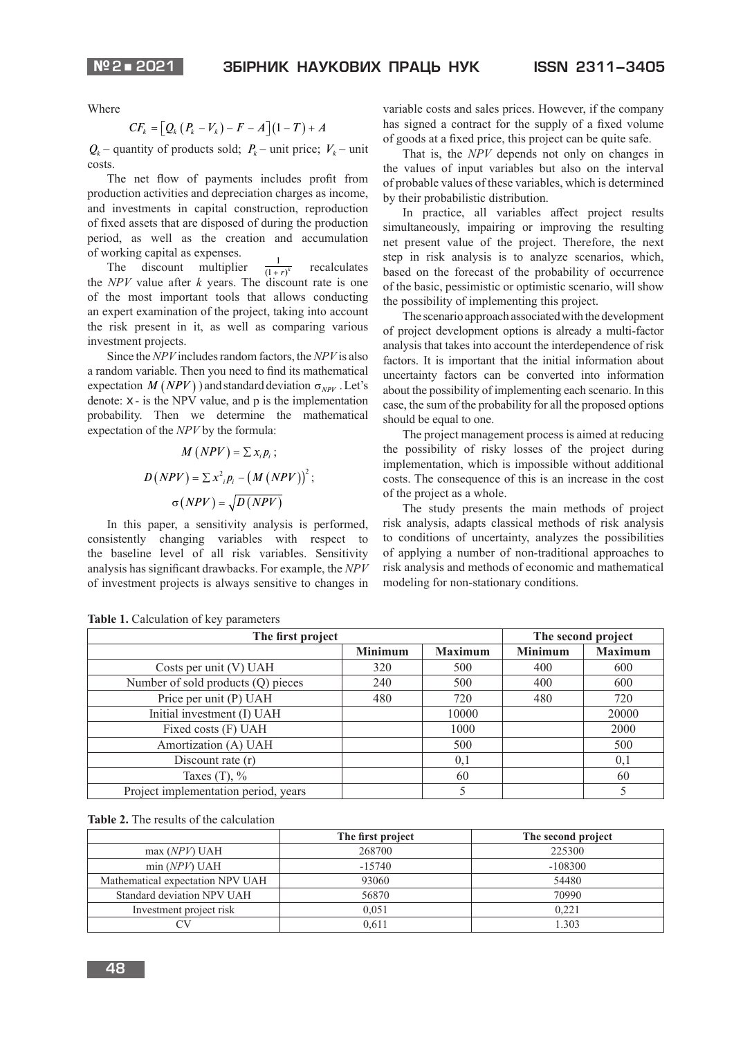Where

$$
CF_k = \big[Q_k(P_k - V_k) - F - A\big](1 - T) + A
$$

 $Q_k$  – quantity of products sold;  $P_k$  – unit price;  $V_k$  – unit costs.

The net flow of payments includes profit from production activities and depreciation charges as income, and investments in capital construction, reproduction of fixed assets that are disposed of during the production period, as well as the creation and accumulation of working capital as expenses.

The discount multiplier  $\frac{1}{(1+r)^k}$  $recalculus$ the *NPV* value after *k* years. The discount rate is one of the most important tools that allows conducting an expert examination of the project, taking into account the risk present in it, as well as comparing various investment projects.

Since the *NPV* includes random factors, the *NPV* is also a random variable. Then you need to find its mathematical expectation  $M(NPV)$ ) and standard deviation  $\sigma_{NPV}$ . Let's denote:  $x -$  is the NPV value, and  $p$  is the implementation probability. Then we determine the mathematical expectation of the *NPV* by the formula:

$$
M(NPV) = \sum x_i p_i ;
$$
  

$$
D(NPV) = \sum x^2_i p_i - (M(NPV))^2 ;
$$
  

$$
\sigma(NPV) = \sqrt{D(NPV)}
$$

In this paper, a sensitivity analysis is performed, consistently changing variables with respect to the baseline level of all risk variables. Sensitivity analysis has significant drawbacks. For example, the *NPV* of investment projects is always sensitive to changes in

variable costs and sales prices. However, if the company has signed a contract for the supply of a fixed volume of goods at a fixed price, this project can be quite safe.

That is, the *NPV* depends not only on changes in the values of input variables but also on the interval of probable values of these variables, which is determined by their probabilistic distribution.

In practice, all variables affect project results simultaneously, impairing or improving the resulting net present value of the project. Therefore, the next step in risk analysis is to analyze scenarios, which, based on the forecast of the probability of occurrence of the basic, pessimistic or optimistic scenario, will show the possibility of implementing this project.

The scenario approach associated with the development of project development options is already a multi-factor analysis that takes into account the interdependence of risk factors. It is important that the initial information about uncertainty factors can be converted into information about the possibility of implementing each scenario. In this case, the sum of the probability for all the proposed options should be equal to one.

The project management process is aimed at reducing the possibility of risky losses of the project during implementation, which is impossible without additional costs. The consequence of this is an increase in the cost of the project as a whole.

The study presents the main methods of project risk analysis, adapts classical methods of risk analysis to conditions of uncertainty, analyzes the possibilities of applying a number of non-traditional approaches to risk analysis and methods of economic and mathematical modeling for non-stationary conditions.

| The first project                    |                |                | The second project |                |
|--------------------------------------|----------------|----------------|--------------------|----------------|
|                                      | <b>Minimum</b> | <b>Maximum</b> | <b>Minimum</b>     | <b>Maximum</b> |
| Costs per unit (V) UAH               | 320            | 500            | 400                | 600            |
| Number of sold products (Q) pieces   | 240            | 500            | 400                | 600            |
| Price per unit (P) UAH               | 480            | 720            | 480                | 720            |
| Initial investment (I) UAH           |                | 10000          |                    | 20000          |
| Fixed costs (F) UAH                  |                | 1000           |                    | 2000           |
| Amortization (A) UAH                 |                | 500            |                    | 500            |
| Discount rate $(r)$                  |                | 0,1            |                    | 0,1            |
| Taxes $(T)$ , %                      |                | 60             |                    | 60             |
| Project implementation period, years |                |                |                    |                |

| Table 1. Calculation of key parameters |  |
|----------------------------------------|--|
|----------------------------------------|--|

|  | <b>Table 2.</b> The results of the calculation |  |  |
|--|------------------------------------------------|--|--|
|--|------------------------------------------------|--|--|

|                                  | The first project | The second project |
|----------------------------------|-------------------|--------------------|
| max(NPV) UAH                     | 268700            | 225300             |
| min(NPV) UAH                     | $-15740$          | $-108300$          |
| Mathematical expectation NPV UAH | 93060             | 54480              |
| Standard deviation NPV UAH       | 56870             | 70990              |
| Investment project risk          | 0.051             | 0.221              |
|                                  | 0.611             | 1.303              |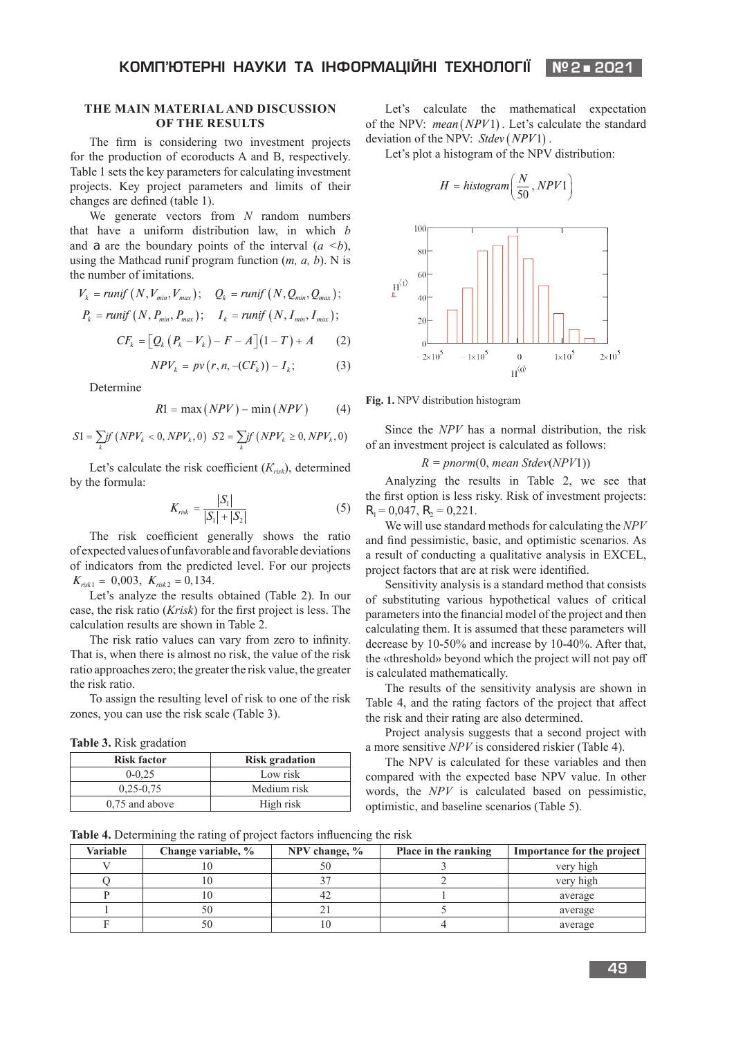## **THE MAIN MATERIAL AND DISCUSSION OF THE RESULTS**

The firm is considering two investment projects for the production of ecoroducts A and B, respectively. Table 1 sets the key parameters for calculating investment projects. Key project parameters and limits of their changes are defined (table 1).

We generate vectors from *N* random numbers that have a uniform distribution law, in which *b* and *a* are the boundary points of the interval  $(a \le b)$ , using the Mathcad runif program function (*m, a, b*). N is the number of imitations.

$$
V_k = runif (N, V_{min}, V_{max}); \quad Q_k = runif (N, Q_{min}, Q_{max});
$$
  
\n
$$
P_k = runif (N, P_{min}, P_{max}); \quad I_k = runif (N, I_{min}, I_{max});
$$
  
\n
$$
CF_k = [Q_k (P_k - V_k) - F - A](1 - T) + A
$$
 (2)

$$
NPV_k = pv(r, n, -(CF_k)) - I_k;
$$
 (3)

Determine

$$
R1 = \max(NPV) - \min(NPV)
$$
 (4)

$$
S1 = \sum_{k} if (NPV_k < 0, NPV_k, 0) \quad S2 = \sum_{k} if (NPV_k \ge 0, NPV_k, 0)
$$

Let's calculate the risk coefficient  $(K_{risk})$ , determined by the formula:

$$
K_{risk} = \frac{|S_1|}{|S_1| + |S_2|} \tag{5}
$$

The risk coefficient generally shows the ratio of expected values of unfavorable and favorable deviations of indicators from the predicted level. For our projects  $K_{risk1} = 0,003, K_{risk2} = 0,134.$ 

Let's analyze the results obtained (Table 2). In our case, the risk ratio (*Krisk*) for the first project is less. The calculation results are shown in Table 2.

The risk ratio values can vary from zero to infinity. That is, when there is almost no risk, the value of the risk ratio approaches zero; the greater the risk value, the greater the risk ratio.

To assign the resulting level of risk to one of the risk zones, you can use the risk scale (Table 3).

**Table 3.** Risk gradation

| <b>Risk factor</b> | <b>Risk gradation</b> |
|--------------------|-----------------------|
| $0 - 0.25$         | Low risk              |
| $0.25 - 0.75$      | Medium risk           |
| $0.75$ and above   | High risk             |

Let's calculate the mathematical expectation of the NPV: *mean* (NPV1). Let's calculate the standard deviation of the NPV: *Stdev* (*NPV*1).

Let's plot a histogram of the NPV distribution:



**Fig. 1.** NPV distribution histogram

Since the *NPV* has a normal distribution, the risk of an investment project is calculated as follows:

*R = pnorm*(0, *mean Stdev*(*NPV*1))

Analyzing the results in Table 2, we see that the first option is less risky. Risk of investment projects:  $R_1 = 0.047$ ,  $R_2 = 0.221$ .

We will use standard methods for calculating the *NPV* and find pessimistic, basic, and optimistic scenarios. As a result of conducting a qualitative analysis in EXCEL, project factors that are at risk were identified.

Sensitivity analysis is a standard method that consists of substituting various hypothetical values of critical parameters into the financial model of the project and then calculating them. It is assumed that these parameters will decrease by 10-50% and increase by 10-40%. After that, the «threshold» beyond which the project will not pay off is calculated mathematically.

The results of the sensitivity analysis are shown in Table 4, and the rating factors of the project that affect the risk and their rating are also determined.

Project analysis suggests that a second project with a more sensitive *NPV* is considered riskier (Table 4).

The NPV is calculated for these variables and then compared with the expected base NPV value. In other words, the *NPV* is calculated based on pessimistic, optimistic, and baseline scenarios (Table 5).

**Table 4.** Determining the rating of project factors influencing the risk

| <b>Variable</b> | Change variable, % | NPV change, $\%$ | Place in the ranking | Importance for the project |
|-----------------|--------------------|------------------|----------------------|----------------------------|
|                 |                    |                  |                      | very high                  |
|                 |                    |                  |                      | very high                  |
|                 | ιU                 |                  |                      | average                    |
|                 |                    |                  |                      | average                    |
|                 |                    |                  |                      | average                    |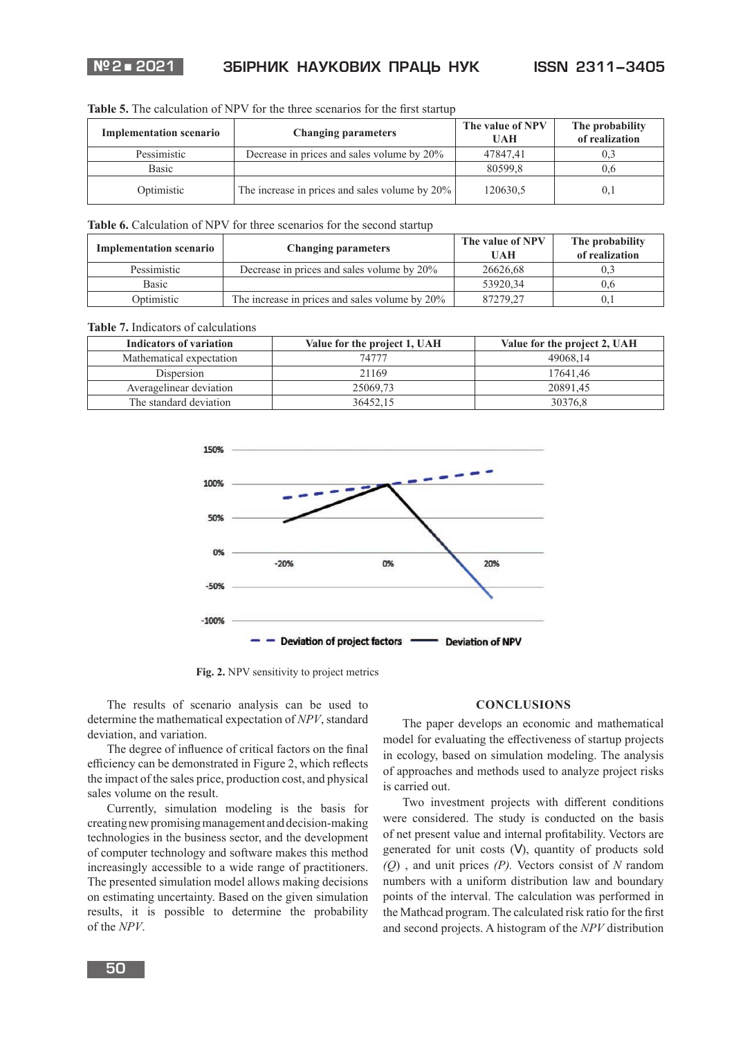

| <b>Table 5.</b> The calculation of NPV for the three scenarios for the first startup |  |  |
|--------------------------------------------------------------------------------------|--|--|
|--------------------------------------------------------------------------------------|--|--|

| <b>Implementation scenario</b> | <b>Changing parameters</b>                     | The value of NPV<br>UAH | The probability<br>of realization |
|--------------------------------|------------------------------------------------|-------------------------|-----------------------------------|
| Pessimistic                    | Decrease in prices and sales volume by 20%     | 47847.41                | 0,3                               |
| <b>Basic</b>                   |                                                | 80599.8                 | 0.6                               |
| Optimistic                     | The increase in prices and sales volume by 20% | 120630,5                | 0,1                               |

Table 6. Calculation of NPV for three scenarios for the second startup

| <b>Implementation scenario</b> | <b>Changing parameters</b>                     | The value of NPV<br>UAH | The probability<br>of realization |
|--------------------------------|------------------------------------------------|-------------------------|-----------------------------------|
| Pessimistic                    | Decrease in prices and sales volume by 20%     | 26626.68                |                                   |
| <b>Basic</b>                   |                                                | 53920.34                | 0.6                               |
| Optimistic                     | The increase in prices and sales volume by 20% | 87279.27                |                                   |

**Table 7.** Indicators of calculations

| Indicators of variation  | Value for the project 1, UAH | Value for the project 2, UAH |
|--------------------------|------------------------------|------------------------------|
| Mathematical expectation | 74777                        | 49068.14                     |
| Dispersion               | 21169                        | 17641.46                     |
| Averagelinear deviation  | 25069,73                     | 20891.45                     |
| The standard deviation   | 36452.15                     | 30376.8                      |



**Fig. 2.** NPV sensitivity to project metrics

The results of scenario analysis can be used to determine the mathematical expectation of *NPV*, standard deviation, and variation.

The degree of influence of critical factors on the final efficiency can be demonstrated in Figure 2, which reflects the impact of the sales price, production cost, and physical sales volume on the result.

Currently, simulation modeling is the basis for creating new promising management and decision-making technologies in the business sector, and the development of computer technology and software makes this method increasingly accessible to a wide range of practitioners. The presented simulation model allows making decisions on estimating uncertainty. Based on the given simulation results, it is possible to determine the probability of the *NPV*.

#### **CONCLUSIONS**

The paper develops an economic and mathematical model for evaluating the effectiveness of startup projects in ecology, based on simulation modeling. The analysis of approaches and methods used to analyze project risks is carried out.

Two investment projects with different conditions were considered. The study is conducted on the basis of net present value and internal profitability. Vectors are generated for unit costs (*V*), quantity of products sold *(Q*) , and unit prices *(P).* Vectors consist of *N* random numbers with a uniform distribution law and boundary points of the interval. The calculation was performed in the Mathcad program. The calculated risk ratio for the first and second projects. A histogram of the *NPV* distribution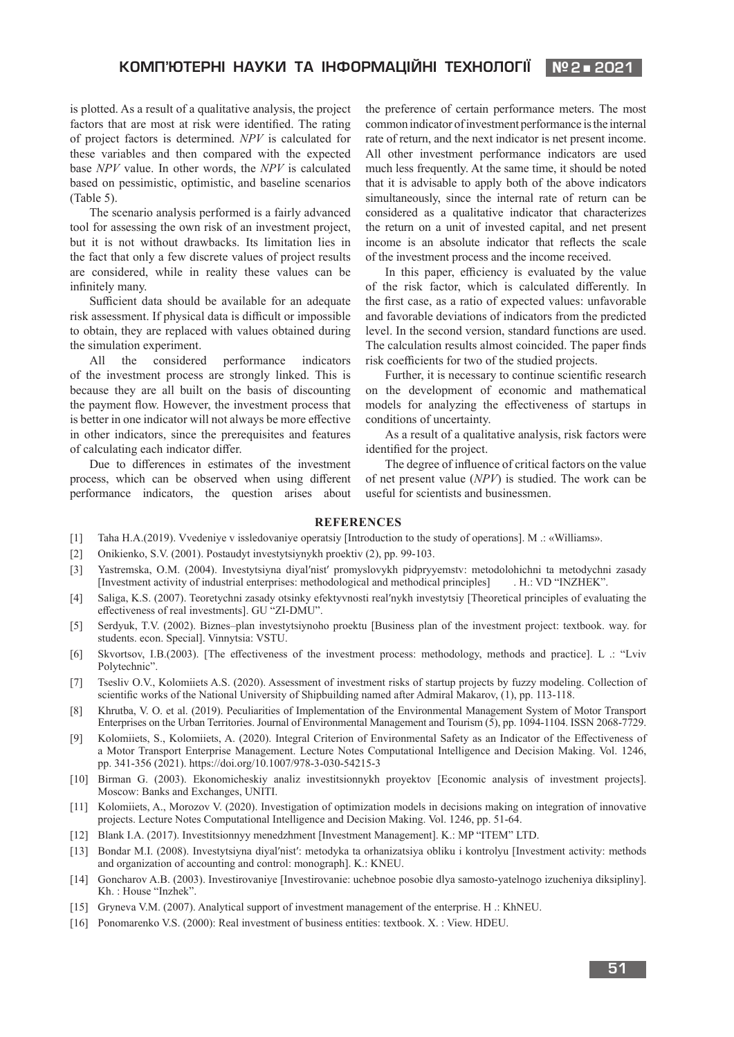# **КОМП'ЮТЕРНI НАУКИ ТА IНФОРМАЦIЙНI ТЕХНОЛОГI КОРАБЛЕБУДУВАННЯЇ №2 2021**

is plotted. As a result of a qualitative analysis, the project factors that are most at risk were identified. The rating of project factors is determined. *NPV* is calculated for these variables and then compared with the expected base *NPV* value. In other words, the *NPV* is calculated based on pessimistic, optimistic, and baseline scenarios (Table 5).

The scenario analysis performed is a fairly advanced tool for assessing the own risk of an investment project, but it is not without drawbacks. Its limitation lies in the fact that only a few discrete values of project results are considered, while in reality these values can be infinitely many.

Sufficient data should be available for an adequate risk assessment. If physical data is difficult or impossible to obtain, they are replaced with values obtained during the simulation experiment.

All the considered performance indicators of the investment process are strongly linked. This is because they are all built on the basis of discounting the payment flow. However, the investment process that is better in one indicator will not always be more effective in other indicators, since the prerequisites and features of calculating each indicator differ.

Due to differences in estimates of the investment process, which can be observed when using different performance indicators, the question arises about

the preference of certain performance meters. The most common indicator of investment performance is the internal rate of return, and the next indicator is net present income. All other investment performance indicators are used much less frequently. At the same time, it should be noted that it is advisable to apply both of the above indicators simultaneously, since the internal rate of return can be considered as a qualitative indicator that characterizes the return on a unit of invested capital, and net present income is an absolute indicator that reflects the scale of the investment process and the income received.

In this paper, efficiency is evaluated by the value of the risk factor, which is calculated differently. In the first case, as a ratio of expected values: unfavorable and favorable deviations of indicators from the predicted level. In the second version, standard functions are used. The calculation results almost coincided. The paper finds risk coefficients for two of the studied projects.

Further, it is necessary to continue scientific research on the development of economic and mathematical models for analyzing the effectiveness of startups in conditions of uncertainty.

As a result of a qualitative analysis, risk factors were identified for the project.

The degree of influence of critical factors on the value of net present value (*NPV*) is studied. The work can be useful for scientists and businessmen.

## **REFERENCES**

- [1] Taha H.A.(2019). Vvedeniye v issledovaniye operatsiy [Introduction to the study of operations]. M .: «Williams».
- [2] Onikienko, S.V. (2001). Postaudyt investytsiynykh proektiv (2), pp. 99-103.
- [3] Yastremska, O.M. (2004). Investytsiyna diyalʹnistʹ promyslovykh pidpryyemstv: metodolohichni ta metodychni zasady [Investment activity of industrial enterprises: methodological and methodical principles] . H.: VD "INZHEK".
- [4] Saliga, K.S. (2007). Teoretychni zasady otsinky efektyvnosti realʹnykh investytsiy [Theoretical principles of evaluating the effectiveness of real investments]. GU "ZI-DMU".
- [5] Serdyuk, T.V. (2002). Biznes–plan investytsiynoho proektu [Business plan of the investment project: textbook. way. for students. econ. Special]. Vinnytsia: VSTU.
- [6] Skvortsov, I.B.(2003). [The effectiveness of the investment process: methodology, methods and practice]. L .: "Lviv Polytechnic".
- [7] Tsesliv O.V., Kolomiiets A.S. (2020). Assessment of investment risks of startup projects by fuzzy modeling. Collection of scientific works of the National University of Shipbuilding named after Admiral Makarov, (1), pp. 113-118.
- [8] Khrutba, V. O. et al. (2019). Peculiarities of Implementation of the Environmental Management System of Motor Transport Enterprises on the Urban Territories. Journal of Environmental Management and Tourism (5), pp. 1094-1104. ISSN 2068-7729.
- [9] Kolomiiets, S., Kolomiiets, A. (2020). Integral Criterion of Environmental Safety as an Indicator of the Effectiveness of a Motor Transport Enterprise Management. Lecture Notes Computational Intelligence and Decision Making. Vol. 1246, pp. 341-356 (2021). https://doi.org/10.1007/978-3-030-54215-3
- [10] Birman G. (2003). Ekonomicheskiy analiz investitsionnykh proyektov [Economic analysis of investment projects]. Moscow: Banks and Exchanges, UNITI.
- [11] Kolomiiets, A., Morozov V. (2020). Investigation of optimization models in decisions making on integration of innovative projects. Lecture Notes Computational Intelligence and Decision Making. Vol. 1246, pp. 51-64.
- [12] Blank I.A. (2017). Investitsionnyy menedzhment [Investment Management]. K.: MP "ITEM" LTD.
- [13] Bondar M.I. (2008). Investytsiyna diyalʹnistʹ: metodyka ta orhanizatsiya obliku i kontrolyu [Investment activity: methods and organization of accounting and control: monograph]. K.: KNEU.
- [14] Goncharov A.B. (2003). Investirovaniye [Investirovanie: uchebnoe posobie dlya samosto-yatelnogo izucheniya diksipliny]. Kh. : House "Inzhek".
- [15] Gryneva V.M. (2007). Analytical support of investment management of the enterprise. H .: KhNEU.
- [16] Ponomarenko V.S. (2000): Real investment of business entities: textbook. X. : View. HDEU.